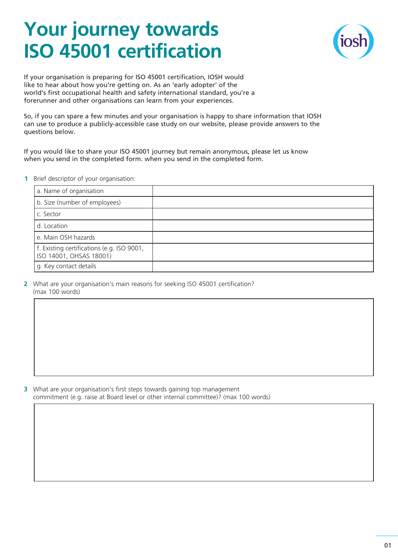## **Your journey towards ISO 45001 certification**



If your organisation is preparing for ISO 45001 certification, IOSH would like to hear about how you're getting on. As an 'early adopter' of the world's first occupational health and safety international standard, you're a forerunner and other organisations can learn from your experiences.

So, if you can spare a few minutes and your organisation is happy to share information that IOSH can use to produce a publicly-accessible case study on our website, please provide answers to the questions below.

If you would like to share your ISO 45001 journey but remain anonymous, please let us know when you send in the completed form. when you send in the completed form.

**1** Brief descriptor of your organisation:

| a. Name of organisation                                               |  |
|-----------------------------------------------------------------------|--|
| b. Size (number of employees)                                         |  |
| c. Sector                                                             |  |
| d. Location                                                           |  |
| e. Main OSH hazards                                                   |  |
| f. Existing certifications (e.g. ISO 9001,<br>ISO 14001, OHSAS 18001) |  |
| g. Key contact details                                                |  |

**2** What are your organisation's main reasons for seeking ISO 45001 certification? (max 100 words)

**3** What are your organisation's first steps towards gaining top management commitment (e.g. raise at Board level or other internal committee)? (max 100 words)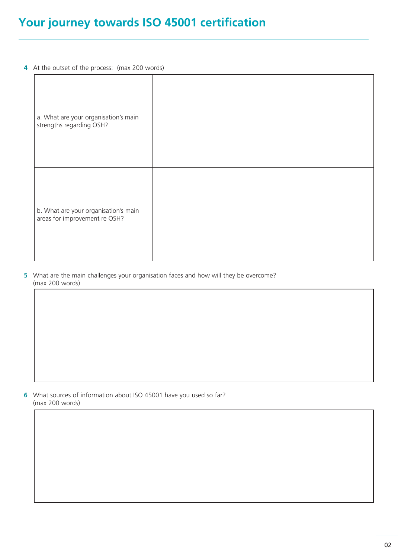## **Your journey towards ISO 45001 certification**

**4** At the outset of the process: (max 200 words)

| a. What are your organisation's main<br>strengths regarding OSH?      |  |
|-----------------------------------------------------------------------|--|
| b. What are your organisation's main<br>areas for improvement re OSH? |  |

**5** What are the main challenges your organisation faces and how will they be overcome? (max 200 words)

**6** What sources of information about ISO 45001 have you used so far? (max 200 words)